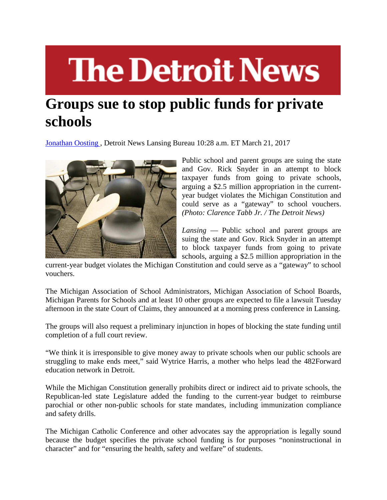## **The Detroit News**

## **Groups sue to stop public funds for private schools**

Jonathan Oosting , Detroit News Lansing Bureau 10:28 a.m. ET March 21, 2017



Public school and parent groups are suing the state and Gov. Rick Snyder in an attempt to block taxpayer funds from going to private schools, arguing a \$2.5 million appropriation in the currentyear budget violates the Michigan Constitution and could serve as a "gateway" to school vouchers. *(Photo: Clarence Tabb Jr. / The Detroit News)*

*Lansing* — Public school and parent groups are suing the state and Gov. Rick Snyder in an attempt to block taxpayer funds from going to private schools, arguing a \$2.5 million appropriation in the

current-year budget violates the Michigan Constitution and could serve as a "gateway" to school vouchers.

The Michigan Association of School Administrators, Michigan Association of School Boards, Michigan Parents for Schools and at least 10 other groups are expected to file a lawsuit Tuesday afternoon in the state Court of Claims, they announced at a morning press conference in Lansing.

The groups will also request a preliminary injunction in hopes of blocking the state funding until completion of a full court review.

"We think it is irresponsible to give money away to private schools when our public schools are struggling to make ends meet," said Wytrice Harris, a mother who helps lead the 482Forward education network in Detroit.

While the Michigan Constitution generally prohibits direct or indirect aid to private schools, the Republican-led state Legislature added the funding to the current-year budget to reimburse parochial or other non-public schools for state mandates, including immunization compliance and safety drills.

The Michigan Catholic Conference and other advocates say the appropriation is legally sound because the budget specifies the private school funding is for purposes "noninstructional in character" and for "ensuring the health, safety and welfare" of students.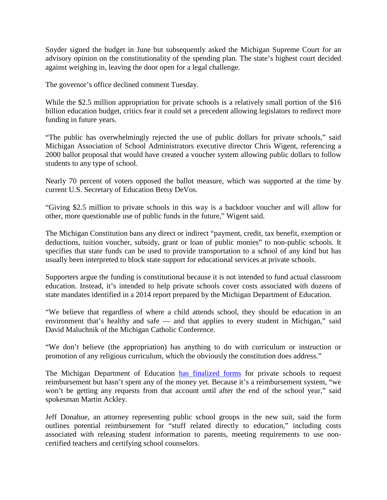Snyder signed the budget in June but subsequently asked the Michigan Supreme Court for an advisory opinion on the constitutionality of the spending plan. The state's highest court decided against weighing in, leaving the door open for a legal challenge.

The governor's office declined comment Tuesday.

While the \$2.5 million appropriation for private schools is a relatively small portion of the \$16 billion education budget, critics fear it could set a precedent allowing legislators to redirect more funding in future years.

"The public has overwhelmingly rejected the use of public dollars for private schools," said Michigan Association of School Administrators executive director Chris Wigent, referencing a 2000 ballot proposal that would have created a voucher system allowing public dollars to follow students to any type of school.

Nearly 70 percent of voters opposed the ballot measure, which was supported at the time by current U.S. Secretary of Education Betsy DeVos.

"Giving \$2.5 million to private schools in this way is a backdoor voucher and will allow for other, more questionable use of public funds in the future," Wigent said.

The Michigan Constitution bans any direct or indirect "payment, credit, tax benefit, exemption or deductions, tuition voucher, subsidy, grant or loan of public monies" to non-public schools. It specifies that state funds can be used to provide transportation to a school of any kind but has usually been interpreted to block state support for educational services at private schools.

Supporters argue the funding is constitutional because it is not intended to fund actual classroom education. Instead, it's intended to help private schools cover costs associated with dozens of state mandates identified in a 2014 report prepared by the Michigan Department of Education.

"We believe that regardless of where a child attends school, they should be education in an environment that's healthy and safe — and that applies to every student in Michigan," said David Maluchnik of the Michigan Catholic Conference.

"We don't believe (the appropriation) has anything to do with curriculum or instruction or promotion of any religious curriculum, which the obviously the constitution does address."

The Michigan Department of Education has finalized forms for private schools to request reimbursement but hasn't spent any of the money yet. Because it's a reimbursement system, "we won't be getting any requests from that account until after the end of the school year," said spokesman Martin Ackley.

Jeff Donahue, an attorney representing public school groups in the new suit, said the form outlines potential reimbursement for "stuff related directly to education," including costs associated with releasing student information to parents, meeting requirements to use noncertified teachers and certifying school counselors.